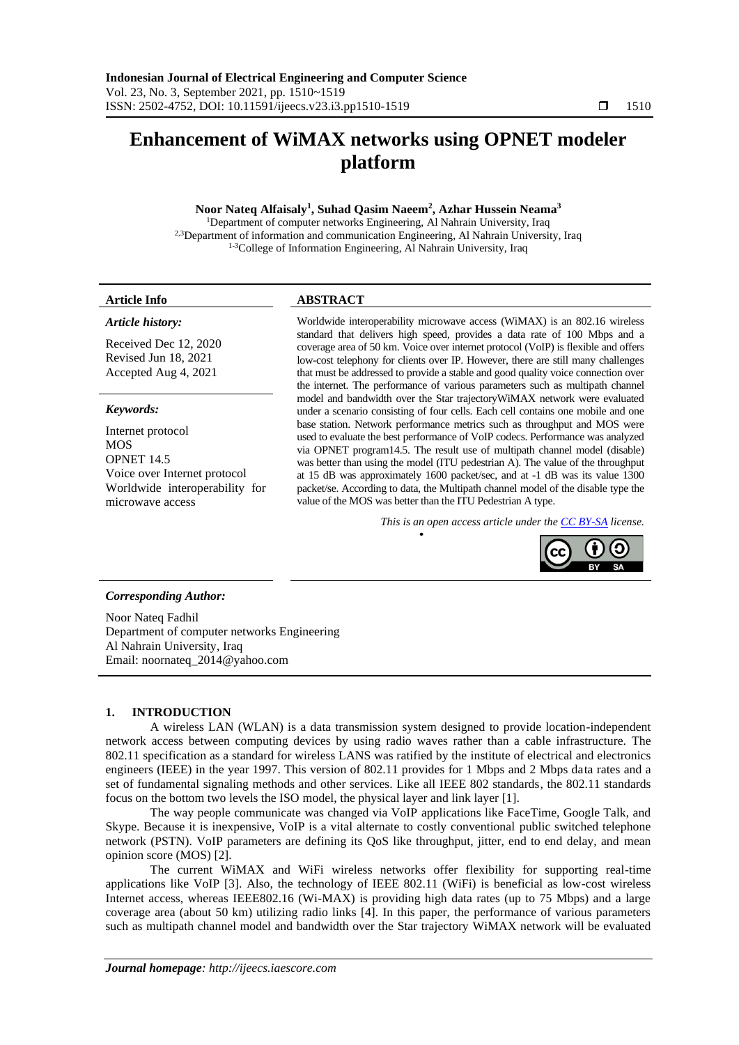# **Enhancement of WiMAX networks using OPNET modeler platform**

# **Noor Nateq Alfaisaly<sup>1</sup> , Suhad Qasim Naeem<sup>2</sup> , Azhar Hussein Neama<sup>3</sup>**

<sup>1</sup>Department of computer networks Engineering, Al Nahrain University, Iraq <sup>2,3</sup>Department of information and communication Engineering, Al Nahrain University, Iraq 1-3College of Information Engineering, Al Nahrain University, Iraq

# *Article history:*

Received Dec 12, 2020 Revised Jun 18, 2021 Accepted Aug 4, 2021

# *Keywords:*

Internet protocol MOS OPNET 14.5 Voice over Internet protocol Worldwide interoperability for microwave access

# **Article Info ABSTRACT**

Worldwide interoperability microwave access (WiMAX) is an 802.16 wireless standard that delivers high speed, provides a data rate of 100 Mbps and a coverage area of 50 km. Voice over internet protocol (VoIP) is flexible and offers low-cost telephony for clients over IP. However, there are still many challenges that must be addressed to provide a stable and good quality voice connection over the internet. The performance of various parameters such as multipath channel model and bandwidth over the Star trajectoryWiMAX network were evaluated under a scenario consisting of four cells. Each cell contains one mobile and one base station. Network performance metrics such as throughput and MOS were used to evaluate the best performance of VoIP codecs. Performance was analyzed via OPNET program14.5. The result use of multipath channel model (disable) was better than using the model (ITU pedestrian A). The value of the throughput at 15 dB was approximately 1600 packet/sec, and at -1 dB was its value 1300 packet/se. According to data, the Multipath channel model of the disable type the value of the MOS was better than the ITU Pedestrian A type.

*This is an open access article under the [CC BY-SA](https://creativecommons.org/licenses/by-sa/4.0/) license.*



# *Corresponding Author:*

Noor Nateq Fadhil Department of computer networks Engineering Al Nahrain University, Iraq Email: noornateq\_2014@yahoo.com

# **1. INTRODUCTION**

A wireless LAN (WLAN) is a data transmission system designed to provide location-independent network access between computing devices by using radio waves rather than a cable infrastructure. The 802.11 specification as a standard for wireless LANS was ratified by the institute of electrical and electronics engineers (IEEE) in the year 1997. This version of 802.11 provides for 1 Mbps and 2 Mbps data rates and a set of fundamental signaling methods and other services. Like all IEEE 802 standards, the 802.11 standards focus on the bottom two levels the ISO model, the physical layer and link layer [1].

The way people communicate was changed via VoIP applications like FaceTime, Google Talk, and Skype. Because it is inexpensive, VoIP is a vital alternate to costly conventional public switched telephone network (PSTN). VoIP parameters are defining its QoS like throughput, jitter, end to end delay, and mean opinion score (MOS) [2].

The current WiMAX and WiFi wireless networks offer flexibility for supporting real-time applications like VoIP [3]. Also, the technology of IEEE 802.11 (WiFi) is beneficial as low-cost wireless Internet access, whereas IEEE802.16 (Wi-MAX) is providing high data rates (up to 75 Mbps) and a large coverage area (about 50 km) utilizing radio links [4]. In this paper, the performance of various parameters such as multipath channel model and bandwidth over the Star trajectory WiMAX network will be evaluated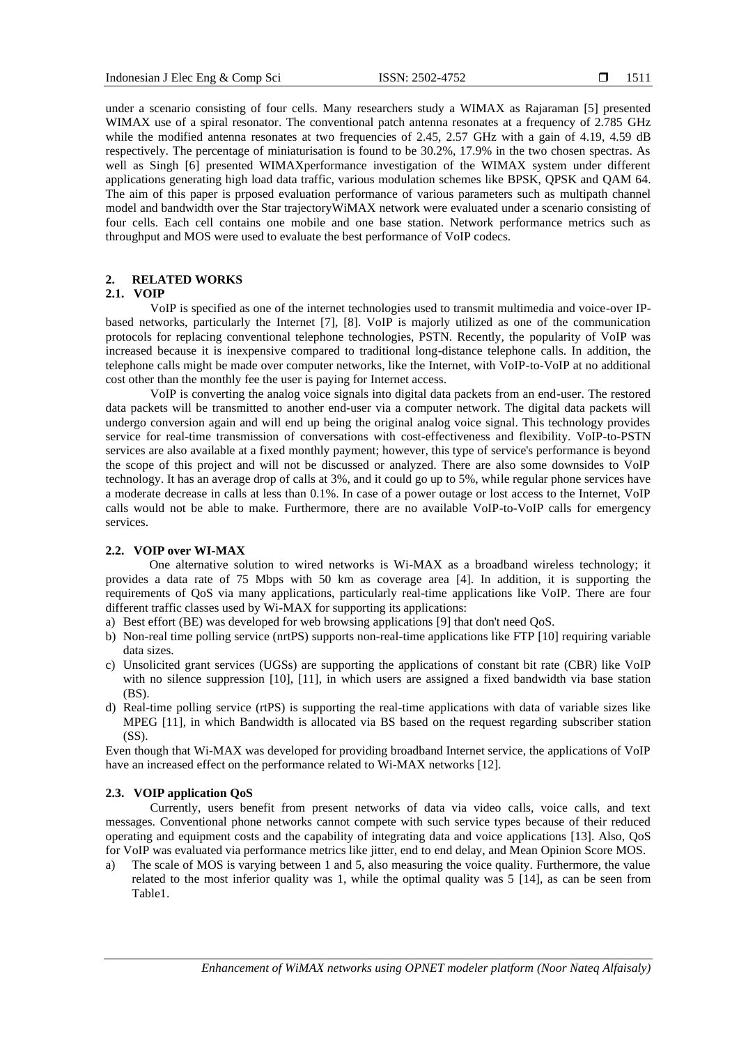under a scenario consisting of four cells. Many researchers study a WIMAX as Rajaraman [5] presented WIMAX use of a spiral resonator. The conventional patch antenna resonates at a frequency of 2.785 GHz while the modified antenna resonates at two frequencies of 2.45, 2.57 GHz with a gain of 4.19, 4.59 dB respectively. The percentage of miniaturisation is found to be 30.2%, 17.9% in the two chosen spectras. As well as Singh [6] presented WIMAXperformance investigation of the WIMAX system under different applications generating high load data traffic, various modulation schemes like BPSK, QPSK and QAM 64. The aim of this paper is prposed evaluation performance of various parameters such as multipath channel model and bandwidth over the Star trajectoryWiMAX network were evaluated under a scenario consisting of four cells. Each cell contains one mobile and one base station. Network performance metrics such as throughput and MOS were used to evaluate the best performance of VoIP codecs.

# **2. RELATED WORKS**

# **2.1. VOIP**

VoIP is specified as one of the internet technologies used to transmit multimedia and voice-over IPbased networks, particularly the Internet [7], [8]. VoIP is majorly utilized as one of the communication protocols for replacing conventional telephone technologies, PSTN. Recently, the popularity of VoIP was increased because it is inexpensive compared to traditional long-distance telephone calls. In addition, the telephone calls might be made over computer networks, like the Internet, with VoIP-to-VoIP at no additional cost other than the monthly fee the user is paying for Internet access.

VoIP is converting the analog voice signals into digital data packets from an end-user. The restored data packets will be transmitted to another end-user via a computer network. The digital data packets will undergo conversion again and will end up being the original analog voice signal. This technology provides service for real-time transmission of conversations with cost-effectiveness and flexibility. VoIP-to-PSTN services are also available at a fixed monthly payment; however, this type of service's performance is beyond the scope of this project and will not be discussed or analyzed. There are also some downsides to VoIP technology. It has an average drop of calls at 3%, and it could go up to 5%, while regular phone services have a moderate decrease in calls at less than 0.1%. In case of a power outage or lost access to the Internet, VoIP calls would not be able to make. Furthermore, there are no available VoIP-to-VoIP calls for emergency services.

# **2.2. VOIP over WI-MAX**

One alternative solution to wired networks is Wi-MAX as a broadband wireless technology; it provides a data rate of 75 Mbps with 50 km as coverage area [4]. In addition, it is supporting the requirements of QoS via many applications, particularly real-time applications like VoIP. There are four different traffic classes used by Wi-MAX for supporting its applications:

- a) Best effort (BE) was developed for web browsing applications [9] that don't need QoS.
- b) Non-real time polling service (nrtPS) supports non-real-time applications like FTP [10] requiring variable data sizes.
- c) Unsolicited grant services (UGSs) are supporting the applications of constant bit rate (CBR) like VoIP with no silence suppression [10], [11], in which users are assigned a fixed bandwidth via base station (BS).
- d) Real-time polling service (rtPS) is supporting the real-time applications with data of variable sizes like MPEG [11], in which Bandwidth is allocated via BS based on the request regarding subscriber station (SS).

Even though that Wi-MAX was developed for providing broadband Internet service, the applications of VoIP have an increased effect on the performance related to Wi-MAX networks [12].

#### **2.3. VOIP application QoS**

Currently, users benefit from present networks of data via video calls, voice calls, and text messages. Conventional phone networks cannot compete with such service types because of their reduced operating and equipment costs and the capability of integrating data and voice applications [13]. Also, QoS for VoIP was evaluated via performance metrics like jitter, end to end delay, and Mean Opinion Score MOS.

a) The scale of MOS is varying between 1 and 5, also measuring the voice quality. Furthermore, the value related to the most inferior quality was 1, while the optimal quality was 5 [14], as can be seen from Table1.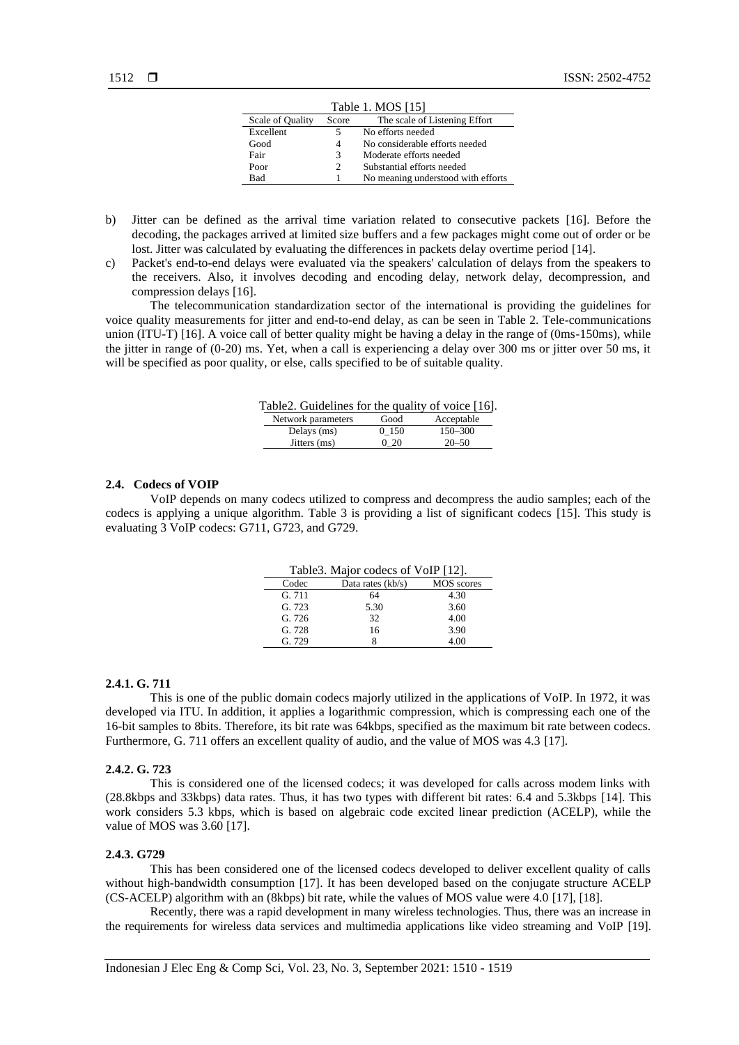| Table 1. MOS [15] |       |                                    |  |  |
|-------------------|-------|------------------------------------|--|--|
| Scale of Quality  | Score | The scale of Listening Effort      |  |  |
| Excellent         |       | No efforts needed                  |  |  |
| Good<br>4         |       | No considerable efforts needed     |  |  |
| Fair              | 3     | Moderate efforts needed            |  |  |
| Poor              | 2     | Substantial efforts needed         |  |  |
| <b>Bad</b>        |       | No meaning understood with efforts |  |  |

- b) Jitter can be defined as the arrival time variation related to consecutive packets [16]. Before the decoding, the packages arrived at limited size buffers and a few packages might come out of order or be lost. Jitter was calculated by evaluating the differences in packets delay overtime period [14].
- c) Packet's end-to-end delays were evaluated via the speakers' calculation of delays from the speakers to the receivers. Also, it involves decoding and encoding delay, network delay, decompression, and compression delays [16].

The telecommunication standardization sector of the international is providing the guidelines for voice quality measurements for jitter and end-to-end delay, as can be seen in Table 2. Tele-communications union (ITU-T) [16]. A voice call of better quality might be having a delay in the range of (0ms-150ms), while the jitter in range of (0-20) ms. Yet, when a call is experiencing a delay over 300 ms or jitter over 50 ms, it will be specified as poor quality, or else, calls specified to be of suitable quality.

| Table 2. Guidelines for the quality of voice [16]. |       |             |
|----------------------------------------------------|-------|-------------|
| Network parameters                                 | Good  | Acceptable  |
| Delays (ms)                                        | 0 150 | $150 - 300$ |
| Jitters (ms)                                       | 020   | $20 - 50$   |

#### **2.4. Codecs of VOIP**

VoIP depends on many codecs utilized to compress and decompress the audio samples; each of the codecs is applying a unique algorithm. Table 3 is providing a list of significant codecs [15]. This study is evaluating 3 VoIP codecs: G711, G723, and G729.

| Table 3. Major codecs of VoIP [12]. |                     |                   |  |
|-------------------------------------|---------------------|-------------------|--|
| Codec                               | Data rates $(kb/s)$ | <b>MOS</b> scores |  |
| G.711                               | 64                  | 4.30              |  |
| G.723                               | 5.30                | 3.60              |  |
| G. 726                              | 32                  | 4.00              |  |
| G. 728                              | 16                  | 3.90              |  |
| G. 729                              |                     | 4.00              |  |

#### **2.4.1. G. 711**

This is one of the public domain codecs majorly utilized in the applications of VoIP. In 1972, it was developed via ITU. In addition, it applies a logarithmic compression, which is compressing each one of the 16-bit samples to 8bits. Therefore, its bit rate was 64kbps, specified as the maximum bit rate between codecs. Furthermore, G. 711 offers an excellent quality of audio, and the value of MOS was 4.3 [17].

#### **2.4.2. G. 723**

This is considered one of the licensed codecs; it was developed for calls across modem links with (28.8kbps and 33kbps) data rates. Thus, it has two types with different bit rates: 6.4 and 5.3kbps [14]. This work considers 5.3 kbps, which is based on algebraic code excited linear prediction (ACELP), while the value of MOS was 3.60 [17].

#### **2.4.3. G729**

This has been considered one of the licensed codecs developed to deliver excellent quality of calls without high-bandwidth consumption [17]. It has been developed based on the conjugate structure ACELP (CS-ACELP) algorithm with an (8kbps) bit rate, while the values of MOS value were 4.0 [17], [18].

Recently, there was a rapid development in many wireless technologies. Thus, there was an increase in the requirements for wireless data services and multimedia applications like video streaming and VoIP [19].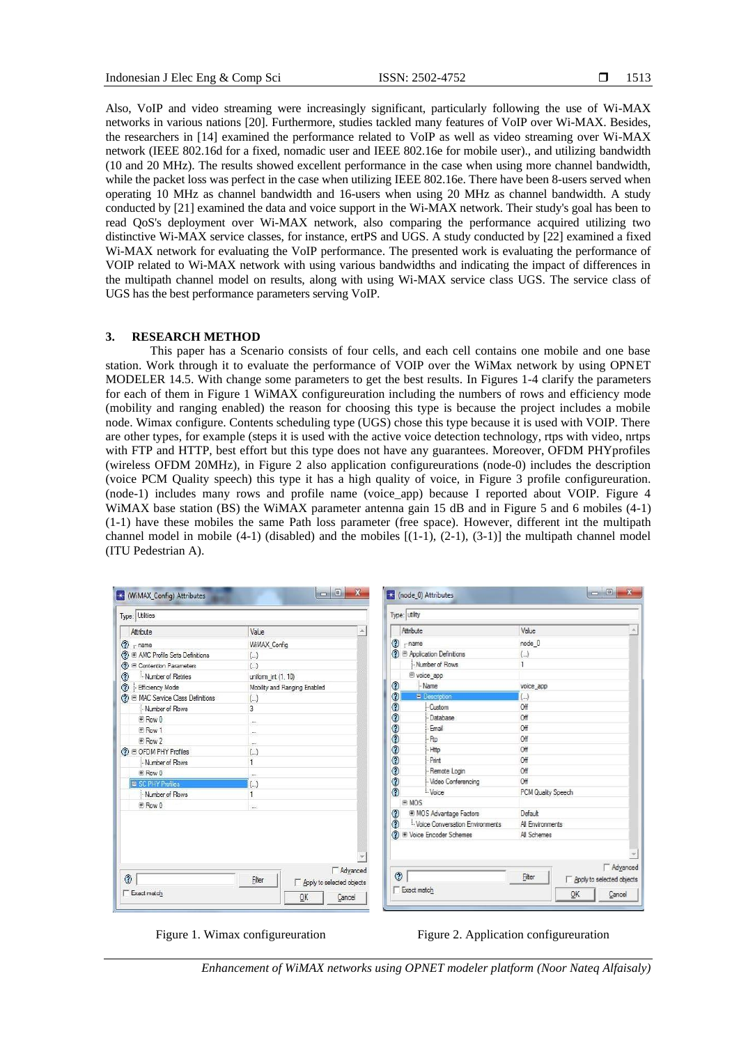Also, VoIP and video streaming were increasingly significant, particularly following the use of Wi-MAX networks in various nations [20]. Furthermore, studies tackled many features of VoIP over Wi-MAX. Besides, the researchers in [14] examined the performance related to VoIP as well as video streaming over Wi-MAX network (IEEE 802.16d for a fixed, nomadic user and IEEE 802.16e for mobile user)., and utilizing bandwidth (10 and 20 MHz). The results showed excellent performance in the case when using more channel bandwidth, while the packet loss was perfect in the case when utilizing IEEE 802.16e. There have been 8-users served when operating 10 MHz as channel bandwidth and 16-users when using 20 MHz as channel bandwidth. A study conducted by [21] examined the data and voice support in the Wi-MAX network. Their study's goal has been to read QoS's deployment over Wi-MAX network, also comparing the performance acquired utilizing two distinctive Wi-MAX service classes, for instance, ertPS and UGS. A study conducted by [22] examined a fixed Wi-MAX network for evaluating the VoIP performance. The presented work is evaluating the performance of VOIP related to Wi-MAX network with using various bandwidths and indicating the impact of differences in the multipath channel model on results, along with using Wi-MAX service class UGS. The service class of UGS has the best performance parameters serving VoIP.

#### **3. RESEARCH METHOD**

This paper has a Scenario consists of four cells, and each cell contains one mobile and one base station. Work through it to evaluate the performance of VOIP over the WiMax network by using OPNET MODELER 14.5. With change some parameters to get the best results. In Figures 1-4 clarify the parameters for each of them in Figure 1 WiMAX configureuration including the numbers of rows and efficiency mode (mobility and ranging enabled) the reason for choosing this type is because the project includes a mobile node. Wimax configure. Contents scheduling type (UGS) chose this type because it is used with VOIP. There are other types, for example (steps it is used with the active voice detection technology, rtps with video, nrtps with FTP and HTTP, best effort but this type does not have any guarantees. Moreover, OFDM PHYprofiles (wireless OFDM 20MHz), in Figure 2 also application configureurations (node-0) includes the description (voice PCM Quality speech) this type it has a high quality of voice, in Figure 3 profile configureuration. (node-1) includes many rows and profile name (voice\_app) because I reported about VOIP. Figure 4 WiMAX base station (BS) the WiMAX parameter antenna gain 15 dB and in Figure 5 and 6 mobiles (4-1) (1-1) have these mobiles the same Path loss parameter (free space). However, different int the multipath channel model in mobile  $(4-1)$  (disabled) and the mobiles  $[(1-1), (2-1), (3-1)]$  the multipath channel model (ITU Pedestrian A).

| Type: Utilties                           |                                     |          | Type: utility                       |                                 |                         |                           |
|------------------------------------------|-------------------------------------|----------|-------------------------------------|---------------------------------|-------------------------|---------------------------|
| Attribute                                | Value                               |          | Attribute                           |                                 | Value                   |                           |
| $\circledcirc$ mame                      | WilAX Config                        |          | ◈<br>$r$ name                       |                                 | node 0                  |                           |
| (?) ⊞ AMC Profile Sets Definitions       | $(\ldots)$                          |          |                                     | → B Application Definitions     | $\left( \ldots \right)$ |                           |
| 2 E Contention Parameters                | $\left( . \right)$                  |          |                                     | Number of Rows                  |                         |                           |
| ᢙ<br>Mumber of Retries                   | uniform int (1, 10)                 |          |                                     | e voice_app                     |                         |                           |
| ◈<br><b>Efficiency Mode</b>              | Mobility and Ranging Enabled        |          | ⊛                                   | Name                            | voice_app               |                           |
| <b>?</b> ■ MAC Service Class Definitions | $(\ldots)$                          |          | ٧                                   | <b>Description</b>              | $\left( \ldots \right)$ |                           |
| Mumber of Rowe                           | 3                                   |          | $\ddot{\text{o}}$                   | Custom                          | Off                     |                           |
| <b>F</b> Row 0                           | a.                                  |          | $\circledcirc$                      | Database                        | Off                     |                           |
| E Row 1                                  |                                     |          | こうのの                                | Email                           | Off                     |                           |
| 田 Row 2                                  | m.                                  |          |                                     | <b>Rp</b>                       | Off                     |                           |
| <b>⑦ E OFDM PHY Profiles</b>             | (.)                                 |          |                                     | Http                            | Off                     |                           |
| Mumber of Rows                           |                                     |          |                                     | Print                           | Off                     |                           |
| E Row 0                                  | <b>Side</b>                         |          | $\tilde{c}$                         | Remote Login                    | Off                     |                           |
| <b>El SC PHY Profiles</b>                | $\left( \ldots \right)$             |          |                                     | Video Conferencing              | Off                     |                           |
| Mumber of Rows                           |                                     |          | ⊚                                   | Voice                           | PCM Quality Speech      |                           |
| <b>F</b> Row 0                           | in.                                 |          | <b>EMOS</b>                         |                                 |                         |                           |
|                                          |                                     |          | <b>E MOS Advantage Factors</b><br>◈ |                                 | Default                 |                           |
|                                          |                                     |          | ⊚                                   | Voice Conversation Environments | All Environments        |                           |
| → Voice Encoder Schemes                  |                                     |          | All Schemes                         |                                 |                         |                           |
|                                          |                                     |          |                                     |                                 |                         |                           |
|                                          |                                     |          |                                     |                                 |                         |                           |
|                                          |                                     | Advanced |                                     |                                 |                         | Advanced                  |
| ◉                                        | Filter<br>Apply to selected objects |          | $\circledcirc$                      |                                 | Filter                  | Apply to selected objects |

Figure 1. Wimax configureuration Figure 2. Application configureuration

*Enhancement of WiMAX networks using OPNET modeler platform (Noor Nateq Alfaisaly)*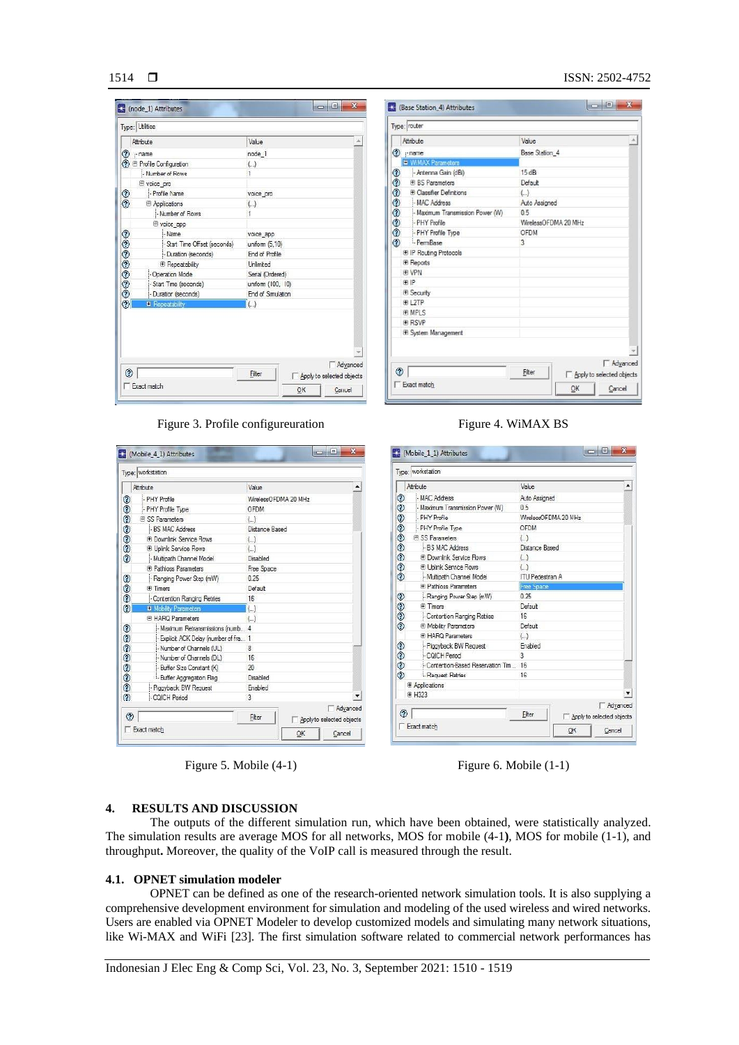# $1514$   $\Box$

#### ISSN: 2502-4752

|               |                                | Value                   |
|---------------|--------------------------------|-------------------------|
|               | Attribute                      |                         |
| ℗             | -name                          | node 1                  |
| ຈ             | <b>E</b> Profile Configuration | $(\ldots)$              |
|               | Mumber of Rows                 | $\mathbf{1}$            |
|               | <b>E</b> voice pro             |                         |
| $\frac{1}{2}$ | - Profile Name                 | voice pro               |
|               | <b>E</b> Applications          | $\left( \ldots \right)$ |
|               | Mumber of Rows                 | 1                       |
|               | voice app                      |                         |
| 000000        | Mame                           | voice app               |
|               | Start Time Offset (seconds)    | uniform (5,10)          |
|               | - Duration (seconds)           | End of Profile          |
|               | <b>E</b> Repeatability         | <b>Unlimited</b>        |
|               | - Operation Mode               | Serial (Ordered)        |
|               | Start Time (seconds)           | uniform (100, 10)       |
|               | - Duration (seconds)           | End of Simulation       |
| $\odot$       | <b>W</b> Repeatability         | $\left( \ldots \right)$ |

| Attribute                       | Value                       |
|---------------------------------|-----------------------------|
| <b>⑦</b> mame                   | Base Station_4              |
| <b>E WiMAX Parameters</b>       |                             |
| ◈<br>- Antenna Gain (dBi)       | 15 dBi                      |
| <b>IFI BS Parameters</b>        | Default                     |
| <b>E Classifier Definitions</b> | $\left(  \right)$           |
| - MAC Address                   | Auto Assigned               |
| Maximum Transmission Power (W)  | 0.5                         |
| のののののの<br>- PHY Profile         | WirelessOFDMA 20 MHz        |
| - PHY Profile Type              | OFDM                        |
| - PemBase                       | 3                           |
| E IP Routing Protocols          |                             |
| <b>E</b> Reports                |                             |
| 田 VPN                           |                             |
| 田 IP                            |                             |
| <b>E</b> Security               |                             |
| ⊕ L2TP                          |                             |
| <b>WE MPLS</b>                  |                             |
| <b>FIRSVP</b>                   |                             |
| System Management               |                             |
|                                 |                             |
|                                 |                             |
| ℗                               | <b>F</b> Advanced<br>Filter |

Figure 3. Profile configureuration Figure 4. WiMAX BS

|        | Attribute                              | Value                   |                      |
|--------|----------------------------------------|-------------------------|----------------------|
| ☺      | - PHY Profile                          | WirelessOFDMA 20 MHz    |                      |
|        | - PHY Profile Type                     | OFDM                    |                      |
| 00000  | <b>ELSS Parameters</b>                 | $\left(  \right)$       |                      |
|        | - BS MAC Address                       | Distance Based          |                      |
|        | F Downlink Service Flows               | $(\ldots)$              |                      |
|        | <b>El Uplink Service Flows</b>         | $(\ldots)$              |                      |
|        | Multipath Channel Model                | Disabled                |                      |
|        | F Pathloss Parameters                  | Free Space              |                      |
|        | - Ranging Power Step (mW)              | 0.25                    |                      |
| ಾ      | Fi Timers                              | Default                 |                      |
|        | Contention Ranging Retries             | 16                      |                      |
| ⊚      | <b>M</b> Mobility Parameters           | $\left( \ldots \right)$ |                      |
|        | <b>E HARQ Parameters</b>               | $\left( .\right)$       |                      |
|        | Maximum Retransmissions (numb 4        |                         |                      |
|        | - Explicit ACK Delay (number of fra 1  |                         |                      |
|        | Mumber of Charnels (UL)                | 8                       |                      |
|        | Number of Charnels (DL)                | 16                      |                      |
|        | - Buffer Size Constant (K)             | 20                      |                      |
| 000000 | <sup>1</sup> . Buffer Aggregation Flag | Disabled                |                      |
|        | - Piggyback BW Request                 | Enabled                 |                      |
| ᢙ      | CQICH Period                           | 3                       | $\blacktriangledown$ |
| ◈      |                                        |                         | Advanced             |

|               | Atribute                              | Value                   | ▲ |
|---------------|---------------------------------------|-------------------------|---|
| ◉             | MAC Address                           | Auto Assigned           |   |
|               | Maximum Transmission Power (W)        | 0.5                     |   |
| $\frac{1}{2}$ | PHY Profile                           | WirelessOFDMA 20 MHz    |   |
|               | - PHY Profile Type                    | OFDM                    |   |
| $\frac{1}{2}$ | <b>ELSS Parameters</b>                | ( )                     |   |
|               | - B.S. MAC, Address                   | Distance Based          |   |
| 0000          | <b>FI Downlink Service Flows</b>      | $\left( \ldots \right)$ |   |
|               | <b>El Uplink Service Flows</b>        | $\left( \right)$        |   |
|               | - Multipath Channel Model             | <b>ITU Pedestrian A</b> |   |
|               | <b>E Pathloss Parameters</b>          | <b>Free Space</b>       |   |
|               | - Ranging Power Step (mW)             | 0.25                    |   |
|               | <b>Fi</b> Timers                      | Default                 |   |
|               | - Contention Ranging Retries          | 16                      |   |
| のののの          | <b>E Mobility Parameters</b>          | Default                 |   |
|               | E HARQ Parameters                     | $(\ldots)$              |   |
|               | - Piggyback BW Request                | Enabled                 |   |
|               | COICH Period                          | ą                       |   |
| ಾಲಿಲಿ         | - Contention-Based Reservation Tim 16 |                         |   |
|               | Request Retries                       | 16                      |   |
|               | <b>E</b> Applications                 |                         |   |
|               | 田 H323                                |                         |   |
| ᢙ             |                                       | Advanced<br>Filter      |   |

Figure 5. Mobile (4-1) Figure 6. Mobile (1-1)

### **4. RESULTS AND DISCUSSION**

The outputs of the different simulation run, which have been obtained, were statistically analyzed. The simulation results are average MOS for all networks, MOS for mobile (4-1**)**, MOS for mobile (1-1), and throughput**.** Moreover, the quality of the VoIP call is measured through the result.

# **4.1. OPNET simulation modeler**

OPNET can be defined as one of the research-oriented network simulation tools. It is also supplying a comprehensive development environment for simulation and modeling of the used wireless and wired networks. Users are enabled via OPNET Modeler to develop customized models and simulating many network situations, like Wi-MAX and WiFi [23]. The first simulation software related to commercial network performances has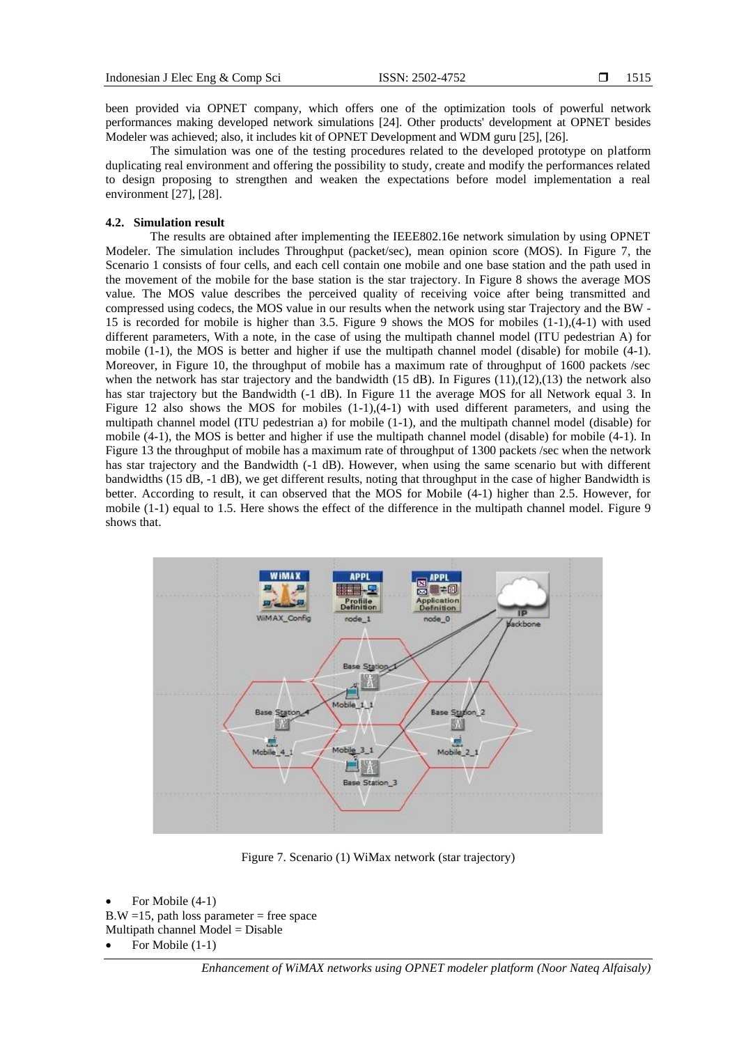been provided via OPNET company, which offers one of the optimization tools of powerful network performances making developed network simulations [24]. Other products' development at OPNET besides Modeler was achieved; also, it includes kit of OPNET Development and WDM guru [25], [26].

The simulation was one of the testing procedures related to the developed prototype on platform duplicating real environment and offering the possibility to study, create and modify the performances related to design proposing to strengthen and weaken the expectations before model implementation a real environment [27], [28].

#### **4.2. Simulation result**

The results are obtained after implementing the IEEE802.16e network simulation by using OPNET Modeler. The simulation includes Throughput (packet/sec), mean opinion score (MOS). In Figure 7, the Scenario 1 consists of four cells, and each cell contain one mobile and one base station and the path used in the movement of the mobile for the base station is the star trajectory. In Figure 8 shows the average MOS value. The MOS value describes the perceived quality of receiving voice after being transmitted and compressed using codecs, the MOS value in our results when the network using star Trajectory and the BW - 15 is recorded for mobile is higher than 3.5. Figure 9 shows the MOS for mobiles (1-1),(4-1) with used different parameters, With a note, in the case of using the multipath channel model (ITU pedestrian A) for mobile (1-1), the MOS is better and higher if use the multipath channel model (disable) for mobile (4-1). Moreover, in Figure 10, the throughput of mobile has a maximum rate of throughput of 1600 packets /sec when the network has star trajectory and the bandwidth  $(15 dB)$ . In Figures  $(11),(12),(13)$  the network also has star trajectory but the Bandwidth (-1 dB). In Figure 11 the average MOS for all Network equal 3. In Figure 12 also shows the MOS for mobiles (1-1),(4-1) with used different parameters, and using the multipath channel model (ITU pedestrian a) for mobile (1-1), and the multipath channel model (disable) for mobile (4-1), the MOS is better and higher if use the multipath channel model (disable) for mobile (4-1). In Figure 13 the throughput of mobile has a maximum rate of throughput of 1300 packets /sec when the network has star trajectory and the Bandwidth (-1 dB). However, when using the same scenario but with different bandwidths (15 dB, -1 dB), we get different results, noting that throughput in the case of higher Bandwidth is better. According to result, it can observed that the MOS for Mobile (4-1) higher than 2.5. However, for mobile (1-1) equal to 1.5. Here shows the effect of the difference in the multipath channel model. Figure 9 shows that.



Figure 7. Scenario (1) WiMax network (star trajectory)

```
For Mobile (4-1)B.W = 15, path loss parameter = free space
Multipath channel Model = Disable
```
For Mobile  $(1-1)$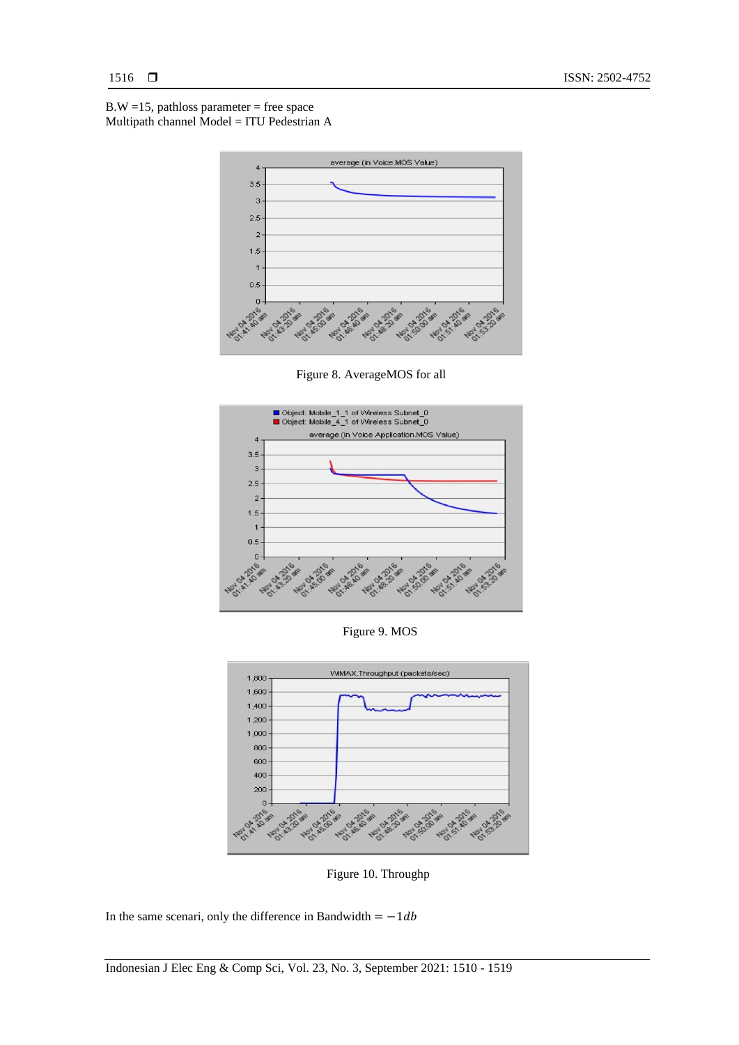$B.W = 15$ , pathloss parameter = free space Multipath channel Model = ITU Pedestrian A



Figure 8. AverageMOS for all



Figure 9. MOS



Figure 10. Throughp

In the same scenari, only the difference in Bandwidth =  $-1db$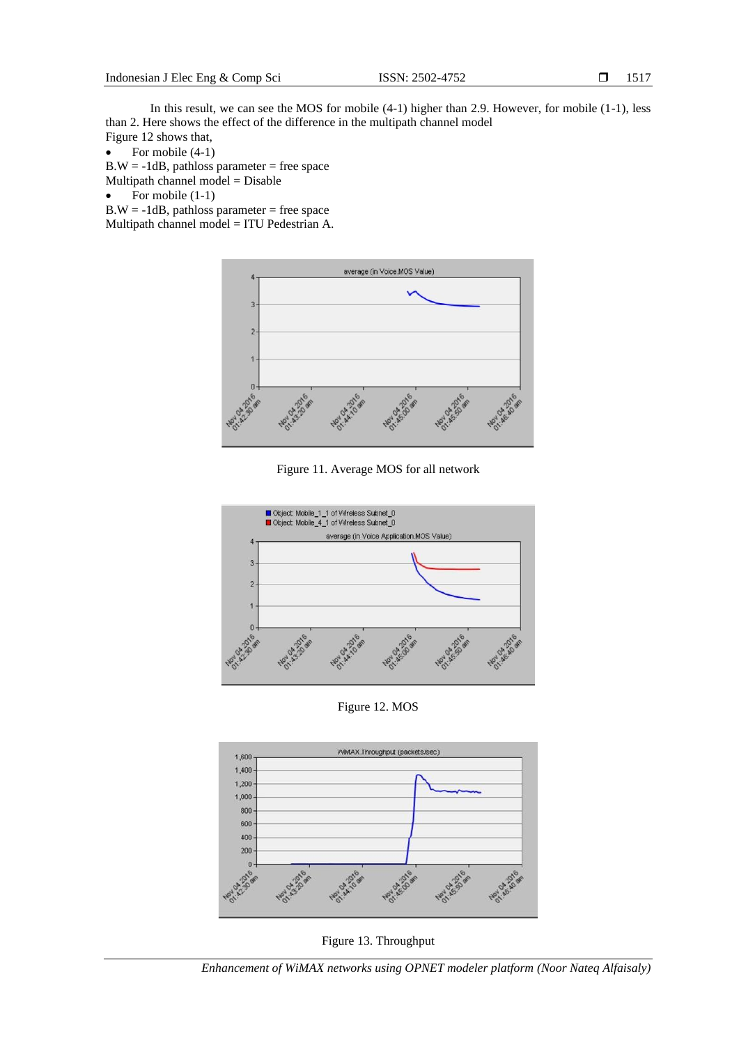In this result, we can see the MOS for mobile (4-1) higher than 2.9. However, for mobile (1-1), less than 2. Here shows the effect of the difference in the multipath channel model Figure 12 shows that,

• For mobile  $(4-1)$ 

 $B.W = -1dB$ , pathloss parameter = free space Multipath channel model = Disable

• For mobile 
$$
(1-1)
$$

 $B.W = -1dB$ , pathloss parameter = free space Multipath channel model = ITU Pedestrian A.



Figure 11. Average MOS for all network



Figure 12. MOS



Figure 13. Throughput

*Enhancement of WiMAX networks using OPNET modeler platform (Noor Nateq Alfaisaly)*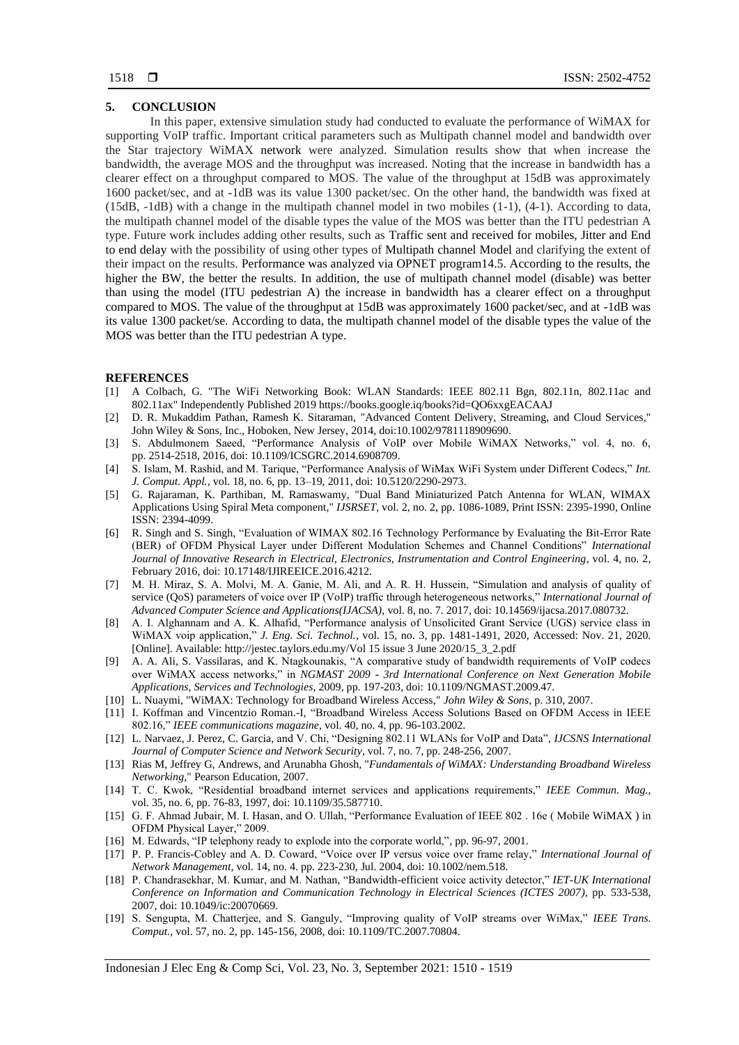### **5. CONCLUSION**

In this paper, extensive simulation study had conducted to evaluate the performance of WiMAX for supporting VoIP traffic. Important critical parameters such as Multipath channel model and bandwidth over the Star trajectory WiMAX network were analyzed. Simulation results show that when increase the bandwidth, the average MOS and the throughput was increased. Noting that the increase in bandwidth has a clearer effect on a throughput compared to MOS. The value of the throughput at 15dB was approximately 1600 packet/sec, and at -1dB was its value 1300 packet/sec. On the other hand, the bandwidth was fixed at (15dB, -1dB) with a change in the multipath channel model in two mobiles (1-1), (4-1). According to data, the multipath channel model of the disable types the value of the MOS was better than the ITU pedestrian A type. Future work includes adding other results, such as Traffic sent and received for mobiles, Jitter and End to end delay with the possibility of using other types of Multipath channel Model and clarifying the extent of their impact on the results. Performance was analyzed via OPNET program14.5. According to the results, the higher the BW, the better the results. In addition, the use of multipath channel model (disable) was better than using the model (ITU pedestrian A) the increase in bandwidth has a clearer effect on a throughput compared to MOS. The value of the throughput at 15dB was approximately 1600 packet/sec, and at -1dB was its value 1300 packet/se. According to data, the multipath channel model of the disable types the value of the MOS was better than the ITU pedestrian A type.

#### **REFERENCES**

- [1] A Colbach, G. "The WiFi Networking Book: WLAN Standards: IEEE 802.11 Bgn, 802.11n, 802.11ac and 802.11ax" Independently Published 2019 https://books.google.iq/books?id=QO6xxgEACAAJ
- [2] D. R. Mukaddim Pathan, Ramesh K. Sitaraman, "Advanced Content Delivery, Streaming, and Cloud Services," John Wiley & Sons, Inc., Hoboken, New Jersey, 2014, doi:10.1002/9781118909690.
- [3] S. Abdulmonem Saeed, "Performance Analysis of VoIP over Mobile WiMAX Networks," vol. 4, no. 6, pp. 2514-2518, 2016, doi: [10.1109/ICSGRC.2014.6908709.](http://dx.doi.org/10.1109/ICSGRC.2014.6908709)
- [4] S. Islam, M. Rashid, and M. Tarique, "Performance Analysis of WiMax WiFi System under Different Codecs," *Int. J. Comput. Appl.*, vol. 18, no. 6, pp. 13–19, 2011, doi: 10.5120/2290-2973.
- [5] G. Rajaraman, K. Parthiban, M. Ramaswamy, "Dual Band Miniaturized Patch Antenna for WLAN, WIMAX Applications Using Spiral Meta component," *IJSRSET*, vol. 2, no. 2, pp. 1086-1089, Print ISSN: 2395-1990, Online ISSN: 2394-4099.
- [6] R. Singh and S. Singh, "Evaluation of WIMAX 802.16 Technology Performance by Evaluating the Bit-Error Rate (BER) of OFDM Physical Layer under Different Modulation Schemes and Channel Conditions" *International Journal of Innovative Research in Electrical, Electronics, Instrumentation and Control Engineering*, vol. 4, no. 2, February 2016, doi: 10.17148/IJIREEICE.2016.4212.
- [7] M. H. Miraz, S. A. Molvi, M. A. Ganie, M. Ali, and A. R. H. Hussein, "Simulation and analysis of quality of service (QoS) parameters of voice over IP (VoIP) traffic through heterogeneous networks," *International Journal of Advanced Computer Science and Applications(IJACSA)*, vol. 8, no. 7. 2017, doi: 10.14569/ijacsa.2017.080732.
- [8] A. I. Alghannam and A. K. Alhafid, "Performance analysis of Unsolicited Grant Service (UGS) service class in WiMAX voip application," *J. Eng. Sci. Technol.*, vol. 15, no. 3, pp. 1481-1491, 2020, Accessed: Nov. 21, 2020. [Online]. Available: http://jestec.taylors.edu.my/Vol 15 issue 3 June 2020/15\_3\_2.pdf
- [9] A. A. Ali, S. Vassilaras, and K. Ntagkounakis, "A comparative study of bandwidth requirements of VoIP codecs over WiMAX access networks," in *NGMAST 2009 - 3rd International Conference on Next Generation Mobile Applications, Services and Technologies*, 2009, pp. 197-203, doi: 10.1109/NGMAST.2009.47.
- [10] L. Nuaymi, "WiMAX: Technology for Broadband Wireless Access," *John Wiley & Sons*, p. 310, 2007.
- [11] I. Koffman and Vincentzio Roman.-I, "Broadband Wireless Access Solutions Based on OFDM Access in IEEE 802.16," *IEEE communications magazine*, vol. 40, no. 4, pp. 96-103.2002.
- [12] L. Narvaez, J. Perez, C. Garcia, and V. Chi, "Designing 802.11 WLANs for VoIP and Data", *IJCSNS International Journal of Computer Science and Network Security*, vol. 7, no. 7, pp. 248-256, 2007.
- [13] Rias M, Jeffrey G, Andrews, and Arunabha Ghosh, "*Fundamentals of WiMAX: Understanding Broadband Wireless Networking*," Pearson Education, 2007.
- [14] T. C. Kwok, "Residential broadband internet services and applications requirements," *IEEE Commun. Mag.*, vol. 35, no. 6, pp. 76-83, 1997, doi: 10.1109/35.587710.
- [15] G. F. Ahmad Jubair, M. I. Hasan, and O. Ullah, "Performance Evaluation of IEEE 802 . 16e ( Mobile WiMAX ) in OFDM Physical Layer," 2009.
- [16] M. Edwards, "IP telephony ready to explode into the corporate world,", pp. 96-97, 2001.
- [17] P. P. Francis-Cobley and A. D. Coward, "Voice over IP versus voice over frame relay," *International Journal of Network Management*, vol. 14, no. 4. pp. 223-230, Jul. 2004, doi: 10.1002/nem.518.
- [18] P. Chandrasekhar, M. Kumar, and M. Nathan, "Bandwidth-efficient voice activity detector," *[IET-UK International](https://digital-library.theiet.org/content/conferences/2007/002;jsessionid=2tnl4nakwrmfl.x-iet-live-01)  [Conference on Information and Communication Technology in Electrical Sciences \(ICTES 2007\)](https://digital-library.theiet.org/content/conferences/2007/002;jsessionid=2tnl4nakwrmfl.x-iet-live-01)*, pp. 533-538, 2007, doi: [10.1049/ic:20070669.](https://doi.org/10.1049/ic:20070669)
- [19] S. Sengupta, M. Chatterjee, and S. Ganguly, "Improving quality of VoIP streams over WiMax," *IEEE Trans. Comput.*, vol. 57, no. 2, pp. 145-156, 2008, doi: 10.1109/TC.2007.70804.